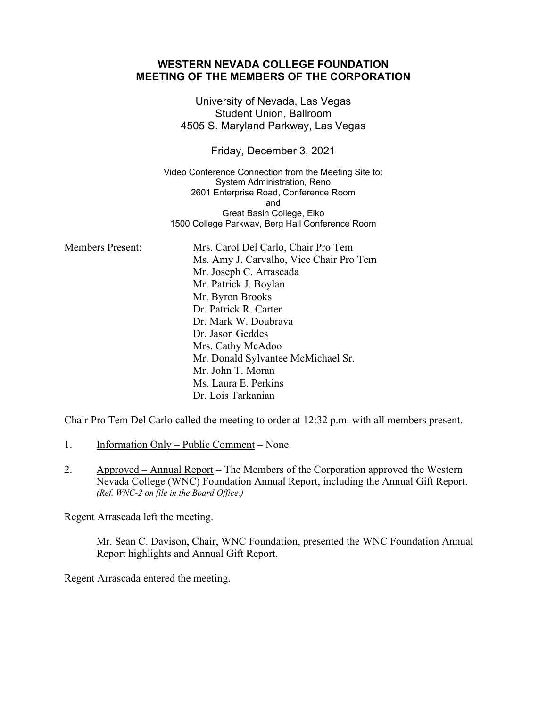## **WESTERN NEVADA COLLEGE FOUNDATION MEETING OF THE MEMBERS OF THE CORPORATION** University of Nevada, Las Vegas Student Union, Ballroom 4505 S. Maryland Parkway, Las Vegas Friday, December 3, 2021 Video Conference Connection from the Meeting Site to: System Administration, Reno 2601 Enterprise Road, Conference Room and Great Basin College, Elko 1500 College Parkway, Berg Hall Conference Room Members Present: Mrs. Carol Del Carlo, Chair Pro Tem Ms. Amy J. Carvalho, Vice Chair Pro Tem Mr. Joseph C. Arrascada Mr. Patrick J. Boylan Mr. Byron Brooks Dr. Patrick R. Carter Dr. Mark W. Doubrava Dr. Jason Geddes Mrs. Cathy McAdoo Mr. Donald Sylvantee McMichael Sr. Mr. John T. Moran Ms. Laura E. Perkins Dr. Lois Tarkanian

Chair Pro Tem Del Carlo called the meeting to order at 12:32 p.m. with all members present.

- 1. Information Only Public Comment None.
- 2. Approved Annual Report The Members of the Corporation approved the Western Nevada College (WNC) Foundation Annual Report, including the Annual Gift Report. *(Ref. WNC-2 on file in the Board Office.)*

Regent Arrascada left the meeting.

Mr. Sean C. Davison, Chair, WNC Foundation, presented the WNC Foundation Annual Report highlights and Annual Gift Report.

Regent Arrascada entered the meeting.